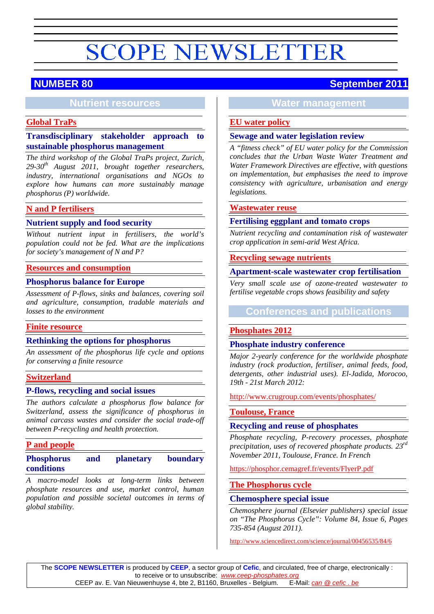# **NUMBER 80 September 2011**

## **Nutrient resources**

## **[Global TraPs](#page-1-0)**

## **Transdisciplinary stakeholder approach to sustainable phosphorus management**

*The third workshop of the Global TraPs project, Zurich, 29-30th August 2011, brought together researchers, industry, international organisations and NGOs to explore how humans can more sustainably manage phosphorus (P) worldwide.*

## **N and [P fertilisers](#page-1-1)**

## **Nutrient supply and food security**

*Without nutrient input in fertilisers, the world's population could not be fed. What are the implications for society's management of N and P?*

#### **[Resources and consumption](#page-3-0)**

#### **Phosphorus balance for Europe**

*Assessment of P-flows, sinks and balances, covering soil and agriculture, consumption, tradable materials and losses to the environment*

#### **[Finite resource](#page-3-1)**

#### **Rethinking the options for phosphorus**

*An assessment of the phosphorus life cycle and options for conserving a finite resource*

#### **[Switzerland](#page-4-0)**

#### **P-flows, recycling and social issues**

*The authors calculate a phosphorus flow balance for Switzerland, assess the significance of phosphorus in animal carcass wastes and consider the social trade-off between P-recycling and health protection.*

#### **[P and people](#page-6-0)**

## **Phosphorus and planetary boundary conditions**

*A macro-model looks at long-term links between phosphate resources and use, market control, human population and possible societal outcomes in terms of global stability.*

# **Water management**

#### **[EU water policy](#page-7-0)**

#### **Sewage and water legislation review**

*A "fitness check" of EU water policy for the Commission concludes that the Urban Waste Water Treatment and Water Framework Directives are effective, with questions on implementation, but emphasises the need to improve consistency with agriculture, urbanisation and energy legislations.*

#### **[Wastewater reuse](#page-8-0)**

#### **Fertilising eggplant and tomato crops**

*Nutrient recycling and contamination risk of wastewater crop application in semi-arid West Africa.*

#### **[Recycling sewage nutrients](#page-9-0)**

#### **Apartment-scale wastewater crop fertilisation**

*Very small scale use of ozone-treated wastewater to fertilise vegetable crops shows feasibility and safety*

## **Conferences and publications**

#### **[Phosphates 2012](#page-10-0)**

#### **Phosphate industry conference**

*Major 2-yearly conference for the worldwide phosphate industry (rock production, fertiliser, animal feeds, food, detergents, other industrial uses). El-Jadida, Morocoo, 19th - 21st March 2012:*

<http://www.crugroup.com/events/phosphates/>

#### **[Toulouse, France](#page-10-1)**

#### **Recycling and reuse of phosphates**

*Phosphate recycling, P-recovery processes, phosphate precipitation, uses of recovered phosphate products.* 23<sup>rd</sup> *November 2011, Toulouse, France. In French*

<https://phosphor.cemagref.fr/events/FlyerP.pdf>

#### **[The Phosphorus cycle](#page-10-2)**

#### **Chemosphere special issue**

*Chemosphere journal (Elsevier publishers) special issue on "The Phosphorus Cycle": Volume 84, Issue 6, Pages 735-854 (August 2011).*

<http://www.sciencedirect.com/science/journal/00456535/84/6>

The **SCOPE NEWSLETTER** is produced by **CEEP**, a sector group of **Cefic**, and circulated, free of charge, electronically : to receive or to unsubscribe: *[www.ceep-phosphates.org](http://www.ceep-phosphates.org/)* CEEP av. E. Van Nieuwenhuyse 4, bte 2, B1160, Bruxelles - Belgium.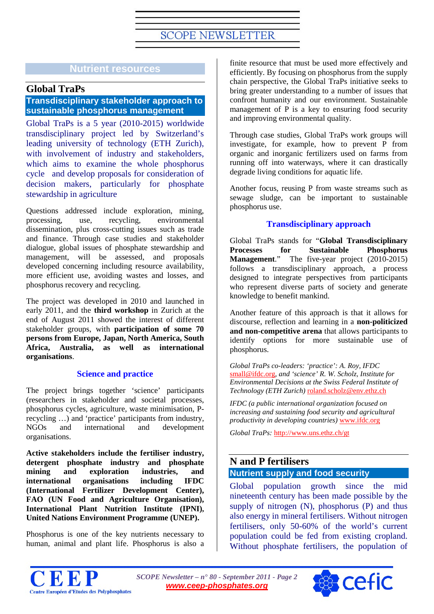## **Nutrient resources**

## **Global TraPs**

## <span id="page-1-0"></span>**Transdisciplinary stakeholder approach to sustainable phosphorus management**

Global TraPs is a 5 year (2010-2015) worldwide transdisciplinary project led by Switzerland's leading university of technology (ETH Zurich), with involvement of industry and stakeholders, which aims to examine the whole phosphorus cycle and develop proposals for consideration of decision makers, particularly for phosphate stewardship in agriculture

Questions addressed include exploration, mining, processing, use, recycling, environmental dissemination, plus cross-cutting issues such as trade and finance. Through case studies and stakeholder dialogue, global issues of phosphate stewardship and management, will be assessed, and proposals developed concerning including resource availability, more efficient use, avoiding wastes and losses, and phosphorus recovery and recycling.

The project was developed in 2010 and launched in early 2011, and the **third workshop** in Zurich at the end of August 2011 showed the interest of different stakeholder groups, with **participation of some 70 persons from Europe, Japan, North America, South Africa, Australia, as well as international organisations**.

## **Science and practice**

The project brings together 'science' participants (researchers in stakeholder and societal processes, phosphorus cycles, agriculture, waste minimisation, Precycling …) and 'practice' participants from industry, NGOs and international and development organisations.

**Active stakeholders include the fertiliser industry, detergent phosphate industry and phosphate mining and exploration industries, and international organisations including IFDC (International Fertilizer Development Center), FAO (UN Food and Agriculture Organisation), International Plant Nutrition Institute (IPNI), United Nations Environment Programme (UNEP).**

Phosphorus is one of the key nutrients necessary to human, animal and plant life. Phosphorus is also a finite resource that must be used more effectively and efficiently. By focusing on phosphorus from the supply chain perspective, the Global TraPs initiative seeks to bring greater understanding to a number of issues that confront humanity and our environment. Sustainable management of P is a key to ensuring food security and improving environmental quality.

Through case studies, Global TraPs work groups will investigate, for example, how to prevent P from organic and inorganic fertilizers used on farms from running off into waterways, where it can drastically degrade living conditions for aquatic life.

Another focus, reusing P from waste streams such as sewage sludge, can be important to sustainable phosphorus use.

## **Transdisciplinary approach**

Global TraPs stands for "**Global Transdisciplinary Processes for Sustainable Phosphorus Management**." The five-year project (2010-2015) follows a transdisciplinary approach, a process designed to integrate perspectives from participants who represent diverse parts of society and generate knowledge to benefit mankind.

Another feature of this approach is that it allows for discourse, reflection and learning in a **non-politicized and non-competitive arena** that allows participants to identify options for more sustainable use of phosphorus.

*Global TraPs co-leaders: 'practice': A. Roy, IFDC*  [small@ifdc.org](mailto:small@ifdc.org)*, and 'science' R. W. Scholz, Institute for Environmental Decisions at the Swiss Federal Institute of Technology (ETH Zurich)* [roland.scholz@env.ethz.ch](mailto:roland.scholz@env.ethz.ch)

*IFDC (a public international organization focused on increasing and sustaining food security and agricultural productivity in developing countries)* [www.ifdc.org](http://www.ifdc.org/)

*Global TraPs:* <http://www.uns.ethz.ch/gt>

## <span id="page-1-1"></span>**N and P fertilisers Nutrient supply and food security**

Global population growth since the mid nineteenth century has been made possible by the supply of nitrogen (N), phosphorus (P) and thus also energy in mineral fertilisers. Without nitrogen fertilisers, only 50-60% of the world's current population could be fed from existing cropland. Without phosphate fertilisers, the population of



*SCOPE Newsletter – n° 80 - September 2011 - Page 2 [www.ceep-phosphates.org](http://www.ceep-phosphates.org/)*

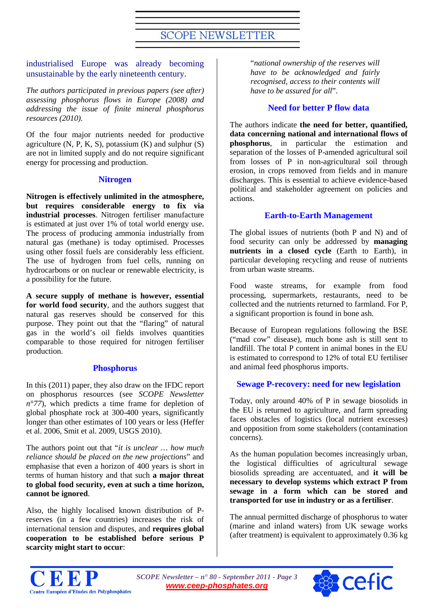## industrialised Europe was already becoming unsustainable by the early nineteenth century.

*The authors participated in previous papers (see after) assessing phosphorus flows in Europe (2008) and addressing the issue of finite mineral phosphorus resources (2010).*

Of the four major nutrients needed for productive agriculture  $(N, P, K, S)$ , potassium  $(K)$  and sulphur  $(S)$ are not in limited supply and do not require significant energy for processing and production.

## **Nitrogen**

**Nitrogen is effectively unlimited in the atmosphere, but requires considerable energy to fix via industrial processes**. Nitrogen fertiliser manufacture is estimated at just over 1% of total world energy use. The process of producing ammonia industrially from natural gas (methane) is today optimised. Processes using other fossil fuels are considerably less efficient. The use of hydrogen from fuel cells, running on hydrocarbons or on nuclear or renewable electricity, is a possibility for the future.

**A secure supply of methane is however, essential for world food security**, and the authors suggest that natural gas reserves should be conserved for this purpose. They point out that the "flaring" of natural gas in the world's oil fields involves quantities comparable to those required for nitrogen fertiliser production.

## **Phosphorus**

In this (2011) paper, they also draw on the IFDC report on phosphorus resources (see *SCOPE Newsletter n°77*), which predicts a time frame for depletion of global phosphate rock at 300-400 years, significantly longer than other estimates of 100 years or less (Heffer et al. 2006, Smit et al. 2009, USGS 2010).

The authors point out that "*it is unclear … how much reliance should be placed on the new projections*" and emphasise that even a horizon of 400 years is short in terms of human history and that such **a major threat to global food security, even at such a time horizon, cannot be ignored**.

Also, the highly localised known distribution of Preserves (in a few countries) increases the risk of international tension and disputes, and **requires global cooperation to be established before serious P scarcity might start to occur**:

"*national ownership of the reserves will have to be acknowledged and fairly recognised, access to their contents will have to be assured for all*".

## **Need for better P flow data**

The authors indicate **the need for better, quantified, data concerning national and international flows of phosphorus**, in particular the estimation and separation of the losses of P-amended agricultural soil from losses of P in non-agricultural soil through erosion, in crops removed from fields and in manure discharges. This is essential to achieve evidence-based political and stakeholder agreement on policies and actions.

## **Earth-to-Earth Management**

The global issues of nutrients (both P and N) and of food security can only be addressed by **managing nutrients in a closed cycle** (Earth to Earth), in particular developing recycling and reuse of nutrients from urban waste streams.

Food waste streams, for example from food processing, supermarkets, restaurants, need to be collected and the nutrients returned to farmland. For P, a significant proportion is found in bone ash.

Because of European regulations following the BSE ("mad cow" disease), much bone ash is still sent to landfill. The total P content in animal bones in the EU is estimated to correspond to 12% of total EU fertiliser and animal feed phosphorus imports.

## **Sewage P-recovery: need for new legislation**

Today, only around 40% of P in sewage biosolids in the EU is returned to agriculture, and farm spreading faces obstacles of logistics (local nutrient excesses) and opposition from some stakeholders (contamination concerns).

As the human population becomes increasingly urban, the logistical difficulties of agricultural sewage biosolids spreading are accentuated, and **it will be necessary to develop systems which extract P from sewage in a form which can be stored and transported for use in industry or as a fertiliser**.

The annual permitted discharge of phosphorus to water (marine and inland waters) from UK sewage works (after treatment) is equivalent to approximately 0.36 kg



*SCOPE Newsletter – n° 80 - September 2011 - Page 3 [www.ceep-phosphates.org](http://www.ceep-phosphates.org/)*

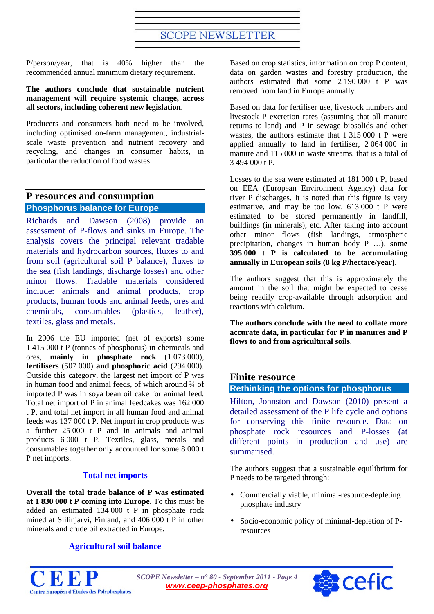P/person/year, that is 40% higher than the recommended annual minimum dietary requirement.

#### **The authors conclude that sustainable nutrient management will require systemic change, across all sectors, including coherent new legislation**.

Producers and consumers both need to be involved, including optimised on-farm management, industrialscale waste prevention and nutrient recovery and recycling, and changes in consumer habits, in particular the reduction of food wastes.

## <span id="page-3-0"></span>**P resources and consumption Phosphorus balance for Europe**

Richards and Dawson (2008) provide an assessment of P-flows and sinks in Europe. The analysis covers the principal relevant tradable materials and hydrocarbon sources, fluxes to and from soil (agricultural soil P balance), fluxes to the sea (fish landings, discharge losses) and other minor flows. Tradable materials considered include: animals and animal products, crop products, human foods and animal feeds, ores and chemicals, consumables (plastics, leather), textiles, glass and metals.

In 2006 the EU imported (net of exports) some 1 415 000 t P (tonnes of phosphorus) in chemicals and ores, **mainly in phosphate rock** (1 073 000), **fertilisers** (507 000) **and phosphoric acid** (294 000). Outside this category, the largest net import of P was in human food and animal feeds, of which around ¾ of imported P was in soya bean oil cake for animal feed. Total net import of P in animal feedcakes was 162 000 t P, and total net import in all human food and animal feeds was 137 000 t P. Net import in crop products was a further 25 000 t P and in animals and animal products 6 000 t P. Textiles, glass, metals and consumables together only accounted for some 8 000 t P net imports.

## **Total net imports**

**Overall the total trade balance of P was estimated at 1 830 000 t P coming into Europe**. To this must be added an estimated 134 000 t P in phosphate rock mined at Siilinjarvi, Finland, and 406 000 t P in other minerals and crude oil extracted in Europe.

## **Agricultural soil balance**

Based on crop statistics, information on crop P content, data on garden wastes and forestry production, the authors estimated that some 2 190 000 t P was removed from land in Europe annually.

Based on data for fertiliser use, livestock numbers and livestock P excretion rates (assuming that all manure returns to land) and P in sewage biosolids and other wastes, the authors estimate that 1 315 000 t P were applied annually to land in fertiliser, 2 064 000 in manure and 115 000 in waste streams, that is a total of 3 494 000 t P.

Losses to the sea were estimated at 181 000 t P, based on EEA (European Environment Agency) data for river P discharges. It is noted that this figure is very estimative, and may be too low. 613 000 t P were estimated to be stored permanently in landfill, buildings (in minerals), etc. After taking into account other minor flows (fish landings, atmospheric precipitation, changes in human body P …), **some 395 000 t P is calculated to be accumulating annually in European soils (8 kg P/hectare/year)**.

The authors suggest that this is approximately the amount in the soil that might be expected to cease being readily crop-available through adsorption and reactions with calcium.

**The authors conclude with the need to collate more accurate data, in particular for P in manures and P flows to and from agricultural soils**.

# **Finite resource**

## <span id="page-3-1"></span>**Rethinking the options for phosphorus**

Hilton, Johnston and Dawson (2010) present a detailed assessment of the P life cycle and options for conserving this finite resource. Data on phosphate rock resources and P-losses (at different points in production and use) are summarised.

The authors suggest that a sustainable equilibrium for P needs to be targeted through:

- Commercially viable, minimal-resource-depleting phosphate industry
- $\mathcal{L}^{\pm}$ Socio-economic policy of minimal-depletion of Presources



*SCOPE Newsletter – n° 80 - September 2011 - Page 4 [www.ceep-phosphates.org](http://www.ceep-phosphates.org/)*

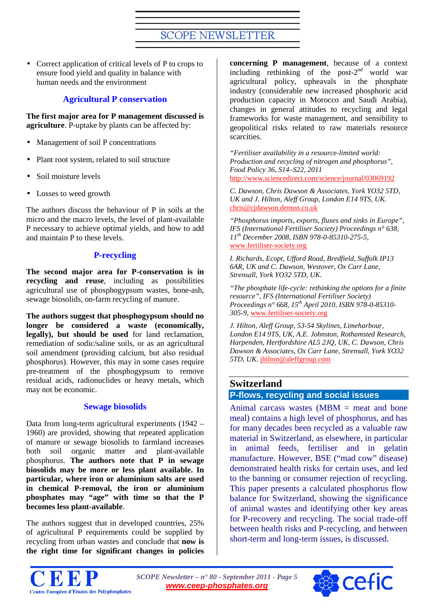Correct application of critical levels of P to crops to ensure food yield and quality in balance with human needs and the environment

## **Agricultural P conservation**

**The first major area for P management discussed is agriculture**. P-uptake by plants can be affected by:

- Management of soil P concentrations  $\mathbf{r}$
- Plant root system, related to soil structure
- Soil moisture levels
- Losses to weed growth

The authors discuss the behaviour of P in soils at the micro and the macro levels, the level of plant-available P necessary to achieve optimal yields, and how to add and maintain P to these levels.

## **P-recycling**

**The second major area for P-conservation is in recycling and reuse**, including as possibilities agricultural use of phosphogypsum wastes, bone-ash, sewage biosolids, on-farm recycling of manure.

**The authors suggest that phosphogypsum should no longer be considered a waste (economically, legally), but should be used** for land reclamation, remediation of sodic/saline soils, or as an agricultural soil amendment (providing calcium, but also residual phosphorus). However, this may in some cases require pre-treatment of the phosphogypsum to remove residual acids, radionuclides or heavy metals, which may not be economic.

#### **Sewage biosolids**

Data from long-term agricultural experiments (1942 – 1960) are provided, showing that repeated application of manure or sewage biosolids to farmland increases both soil organic matter and plant-available phosphorus. **The authors note that P in sewage biosolids may be more or less plant available. In particular, where iron or aluminium salts are used in chemical P-removal, the iron or aluminium phosphates may "age" with time so that the P becomes less plant-available**.

The authors suggest that in developed countries, 25% of agricultural P requirements could be supplied by recycling from urban wastes and conclude that **now is the right time for significant changes in policies** 

**concerning P management**, because of a context including rethinking of the post- $2<sup>nd</sup>$  world war agricultural policy, upheavals in the phosphate industry (considerable new increased phosphoric acid production capacity in Morocco and Saudi Arabia), changes in general attitudes to recycling and legal frameworks for waste management, and sensibility to geopolitical risks related to raw materials resource scarcities.

*"Fertiliser availability in a resource-limited world: Production and recycling of nitrogen and phosphorus", Food Policy 36, S14–S22, 2011*  <http://www.sciencedirect.com/science/journal/03069192>

*C. Dawson, Chris Dawson & Associates, York YO32 5TD, UK and J. Hilton, Aleff Group, London E14 9TS, UK.*  [chris@cjdawson.demon.co.uk](mailto:chris@cjdawson.demon.co.uk)

*"Phosphorus imports, exports, fluxes and sinks in Europe", IFS (International Fertiliser Society) Proceedings n° 638, 11th December 2008, ISBN 978-0-85310-275-5,*  [www.fertiliser-society.org](http://www.fertiliser-society.org/)

*I. Richards, Ecopt, Ufford Road, Bredfield, Suffolk IP13 6AR, UK and C. Dawson, Westover, Ox Carr Lane, Strensall, York YO32 5TD, UK.*

*"The phosphate life-cycle: rethinking the options for a finite resource", IFS (International Fertiliser Society) Proceedings n° 668, 15th April 2010, ISBN 978-0-85310- 305-9,* [www.fertiliser-society.org](http://www.fertiliser-society.org/)

*J. Hilton, Aleff Group, 53-54 Skylines, Limeharbour, London E14 9TS, UK, A.E. Johnston, Rothamsted Research, Harpenden, Hertfordshire AL5 2JQ, UK, C. Dawson, Chris Dawson & Associates, Ox Carr Lane, Strensall, York YO32 5TD, UK.* [jhilton@aleffgroup.com](mailto:jhilton@aleffgroup.com)

## **Switzerland**

## <span id="page-4-0"></span>**P-flows, recycling and social issues**

Animal carcass wastes  $(MBM =$  meat and bone meal) contains a high level of phosphorus, and has for many decades been recycled as a valuable raw material in Switzerland, as elsewhere, in particular in animal feeds, fertiliser and in gelatin manufacture. However, BSE ("mad cow" disease) demonstrated health risks for certain uses, and led to the banning or consumer rejection of recycling. This paper presents a calculated phosphorus flow balance for Switzerland, showing the significance of animal wastes and identifying other key areas for P-recovery and recycling. The social trade-off between health risks and P-recycling, and between short-term and long-term issues, is discussed.



*SCOPE Newsletter – n° 80 - September 2011 - Page 5 [www.ceep-phosphates.org](http://www.ceep-phosphates.org/)*

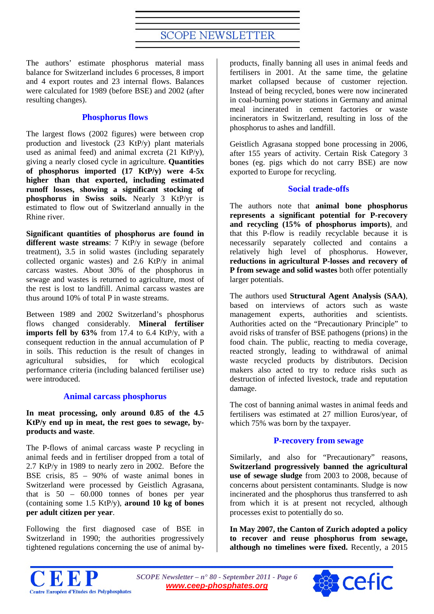The authors' estimate phosphorus material mass balance for Switzerland includes 6 processes, 8 import and 4 export routes and 23 internal flows. Balances were calculated for 1989 (before BSE) and 2002 (after resulting changes).

## **Phosphorus flows**

The largest flows (2002 figures) were between crop production and livestock (23 KtP/y) plant materials used as animal feed) and animal excreta (21 KtP/y), giving a nearly closed cycle in agriculture. **Quantities of phosphorus imported (17 KtP/y) were 4-5x higher than that exported, including estimated runoff losses, showing a significant stocking of phosphorus in Swiss soils.** Nearly 3 KtP/yr is estimated to flow out of Switzerland annually in the Rhine river.

**Significant quantities of phosphorus are found in different waste streams**: 7 KtP/y in sewage (before treatment), 3.5 in solid wastes (including separately collected organic wastes) and 2.6 KtP/y in animal carcass wastes. About 30% of the phosphorus in sewage and wastes is returned to agriculture, most of the rest is lost to landfill. Animal carcass wastes are thus around 10% of total P in waste streams.

Between 1989 and 2002 Switzerland's phosphorus flows changed considerably. **Mineral fertiliser imports fell by 63%** from 17.4 to 6.4 KtP/y, with a consequent reduction in the annual accumulation of P in soils. This reduction is the result of changes in agricultural subsidies, for which ecological performance criteria (including balanced fertiliser use) were introduced.

## **Animal carcass phosphorus**

**In meat processing, only around 0.85 of the 4.5 KtP/y end up in meat, the rest goes to sewage, byproducts and waste**.

The P-flows of animal carcass waste P recycling in animal feeds and in fertiliser dropped from a total of 2.7 KtP/y in 1989 to nearly zero in 2002. Before the BSE crisis, 85 – 90% of waste animal bones in Switzerland were processed by Geistlich Agrasana, that is  $50 - 60.000$  tonnes of bones per year (containing some 1.5 KtP/y), **around 10 kg of bones per adult citizen per year**.

Following the first diagnosed case of BSE in Switzerland in 1990; the authorities progressively tightened regulations concerning the use of animal by-

products, finally banning all uses in animal feeds and fertilisers in 2001. At the same time, the gelatine market collapsed because of customer rejection. Instead of being recycled, bones were now incinerated in coal-burning power stations in Germany and animal meal incinerated in cement factories or waste incinerators in Switzerland, resulting in loss of the phosphorus to ashes and landfill.

Geistlich Agrasana stopped bone processing in 2006, after 155 years of activity. Certain Risk Category 3 bones (eg. pigs which do not carry BSE) are now exported to Europe for recycling.

## **Social trade-offs**

The authors note that **animal bone phosphorus represents a significant potential for P-recovery and recycling (15% of phosphorus imports)**, and that this P-flow is readily recyclable because it is necessarily separately collected and contains a relatively high level of phosphorus. However, **reductions in agricultural P-losses and recovery of P from sewage and solid wastes** both offer potentially larger potentials.

The authors used **Structural Agent Analysis (SAA)**, based on interviews of actors such as waste management experts, authorities and scientists. Authorities acted on the "Precautionary Principle" to avoid risks of transfer of BSE pathogens (prions) in the food chain. The public, reacting to media coverage, reacted strongly, leading to withdrawal of animal waste recycled products by distributors. Decision makers also acted to try to reduce risks such as destruction of infected livestock, trade and reputation damage.

The cost of banning animal wastes in animal feeds and fertilisers was estimated at 27 million Euros/year, of which 75% was born by the taxpayer.

## **P-recovery from sewage**

Similarly, and also for "Precautionary" reasons, **Switzerland progressively banned the agricultural use of sewage sludge** from 2003 to 2008, because of concerns about persistent contaminants. Sludge is now incinerated and the phosphorus thus transferred to ash from which it is at present not recycled, although processes exist to potentially do so.

**In May 2007, the Canton of Zurich adopted a policy to recover and reuse phosphorus from sewage, although no timelines were fixed.** Recently, a 2015



*SCOPE Newsletter – n° 80 - September 2011 - Page 6 [www.ceep-phosphates.org](http://www.ceep-phosphates.org/)*

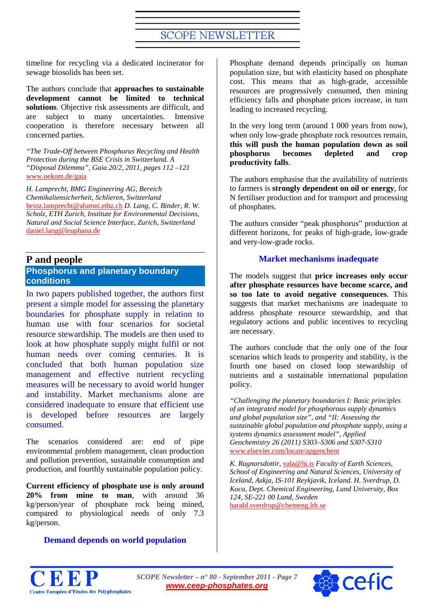timeline for recycling via a dedicated incinerator for sewage biosolids has been set.

The authors conclude that **approaches to sustainable development cannot be limited to technical solutions**. Objective risk assessments are difficult, and are subject to many uncertainties. Intensive cooperation is therefore necessary between all concerned parties.

*"The Trade-Off between Phosphorus Recycling and Health Protection during the BSE Crisis in Switzerland. A "Disposal Dilemma", Gaia 20/2, 2011, pages 112 –121*  [www.oekom.de/gaia](http://www.oekom.de/gaia)

*H. Lamprecht, BMG Engineering AG, Bereich Chemikaliensicherheit, Schlieren, Switzerland*  [heinz.lamprecht@alumni.ethz.ch](mailto:heinz.lamprecht@alumni.ethz.ch) *D. Lang, C. Binder, R. W. Scholz, ETH Zurich, Institute for Environmental Decisions, Natural and Social Science Interface, Zurich, Switzerland*  [daniel.lang@leuphana.de](mailto:daniel.lang@leuphana.de)

## **P and people**

## <span id="page-6-0"></span>**Phosphorus and planetary boundary conditions**

In two papers published together, the authors first present a simple model for assessing the planetary boundaries for phosphate supply in relation to human use with four scenarios for societal resource stewardship. The models are then used to look at how phosphate supply might fulfil or not human needs over coming centuries. It is concluded that both human population size management and effective nutrient recycling measures will be necessary to avoid world hunger and instability. Market mechanisms alone are considered inadequate to ensure that efficient use is developed before resources are largely consumed.

The scenarios considered are: end of pipe environmental problem management, clean production and pollution prevention, sustainable consumption and production, and fourthly sustainable population policy.

**Current efficiency of phosphate use is only around 20% from mine to man**, with around 36 kg/person/year of phosphate rock being mined, compared to physiological needs of only 7.3 kg/person.

## **Demand depends on world population**

Phosphate demand depends principally on human population size, but with elasticity based on phosphate cost. This means that as high-grade, accessible resources are progressively consumed, then mining efficiency falls and phosphate prices increase, in turn leading to increased recycling.

In the very long term (around 1 000 years from now), when only low-grade phosphate rock resources remain, **this will push the human population down as soil phosphorus becomes depleted and crop productivity falls**.

The authors emphasise that the availability of nutrients to farmers is **strongly dependent on oil or energy**, for N fertiliser production and for transport and processing of phosphates.

The authors consider "peak phosphorus" production at different horizons, for peaks of high-grade, low-grade and very-low-grade rocks.

## **Market mechanisms inadequate**

The models suggest that **price increases only occur after phosphate resources have become scarce, and so too late to avoid negative consequences**. This suggests that market mechanisms are inadequate to address phosphate resource stewardship, and that regulatory actions and public incentives to recycling are necessary.

The authors conclude that the only one of the four scenarios which leads to prosperity and stability, is the fourth one based on closed loop stewardship of nutrients and a sustainable international population policy.

*"Challenging the planetary boundaries I: Basic principles of an integrated model for phosphorous supply dynamics and global population size", and "II: Assessing the sustainable global population and phosphate supply, using a systems dynamics assessment model", Applied Geochemistry 26 (2011) S303–S306 and S307-S310* [www.elsevier.com/locate/apgeochem](http://www.elsevier.com/locate/apgeochem)

*K. Ragnarsdottir,* [vala@hi.is](mailto:vala@hi.is) *Faculty of Earth Sciences, School of Engineering and Natural Sciences, University of Iceland, Askja, IS-101 Reykjavik, Iceland. H. Sverdrup, D. Koca, Dept. Chemical Engineering, Lund University, Box 124, SE-221 00 Lund, Sweden* [harald.sverdrup@chemeng.lth.se](mailto:harald.sverdrup@chemeng.lth.se)



*SCOPE Newsletter – n° 80 - September 2011 - Page 7 [www.ceep-phosphates.org](http://www.ceep-phosphates.org/)*

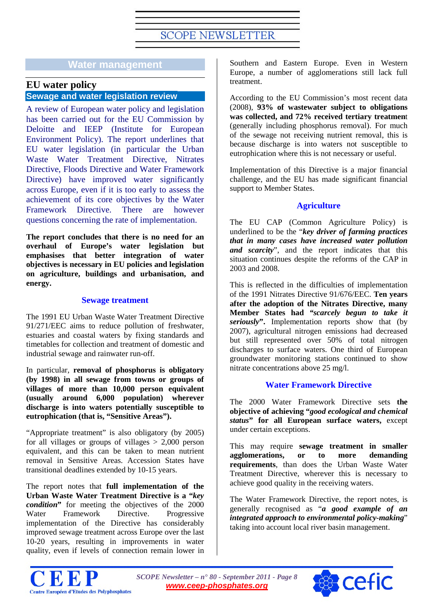## **Water management**

## **EU water policy**

## <span id="page-7-0"></span>**Sewage and water legislation review**

A review of European water policy and legislation has been carried out for the EU Commission by Deloitte and IEEP (Institute for European Environment Policy). The report underlines that EU water legislation (in particular the Urban Waste Water Treatment Directive, Nitrates Directive, Floods Directive and Water Framework Directive) have improved water significantly across Europe, even if it is too early to assess the achievement of its core objectives by the Water Framework Directive. There are however questions concerning the rate of implementation.

**The report concludes that there is no need for an overhaul of Europe's water legislation but emphasises that better integration of water objectives is necessary in EU policies and legislation on agriculture, buildings and urbanisation, and energy.**

## **Sewage treatment**

The 1991 EU Urban Waste Water Treatment Directive 91/271/EEC aims to reduce pollution of freshwater, estuaries and coastal waters by fixing standards and timetables for collection and treatment of domestic and industrial sewage and rainwater run-off.

In particular, **removal of phosphorus is obligatory (by 1998) in all sewage from towns or groups of villages of more than 10,000 person equivalent (usually around 6,000 population) wherever discharge is into waters potentially susceptible to eutrophication (that is, "Sensitive Areas").**

"Appropriate treatment" is also obligatory (by 2005) for all villages or groups of villages  $> 2,000$  person equivalent, and this can be taken to mean nutrient removal in Sensitive Areas. Accession States have transitional deadlines extended by 10-15 years.

The report notes that **full implementation of the Urban Waste Water Treatment Directive is a "***key condition***"** for meeting the objectives of the 2000 Water Framework Directive. Progressive implementation of the Directive has considerably improved sewage treatment across Europe over the last 10-20 years, resulting in improvements in water quality, even if levels of connection remain lower in

Southern and Eastern Europe. Even in Western Europe, a number of agglomerations still lack full treatment.

According to the EU Commission's most recent data (2008), **93% of wastewater subject to obligations was collected, and 72% received tertiary treatmen**t (generally including phosphorus removal). For much of the sewage not receiving nutrient removal, this is because discharge is into waters not susceptible to eutrophication where this is not necessary or useful.

Implementation of this Directive is a major financial challenge, and the EU has made significant financial support to Member States.

## **Agriculture**

The EU CAP (Common Agriculture Policy) is underlined to be the "*key driver of farming practices that in many cases have increased water pollution and scarcity*", and the report indicates that this situation continues despite the reforms of the CAP in 2003 and 2008.

This is reflected in the difficulties of implementation of the 1991 Nitrates Directive 91/676/EEC. **Ten years after the adoption of the Nitrates Directive, many Member States had** *"scarcely begun to take it seriously***".** Implementation reports show that (by 2007), agricultural nitrogen emissions had decreased but still represented over 50% of total nitrogen discharges to surface waters. One third of European groundwater monitoring stations continued to show nitrate concentrations above 25 mg/l.

## **Water Framework Directive**

The 2000 Water Framework Directive sets **the objective of achieving "***good ecological and chemical status***" for all European surface waters,** except under certain exceptions.

This may require **sewage treatment in smaller agglomerations, or to more demanding requirements**, than does the Urban Waste Water Treatment Directive, wherever this is necessary to achieve good quality in the receiving waters.

The Water Framework Directive, the report notes, is generally recognised as "*a good example of an integrated approach to environmental policy-making*" taking into account local river basin management.



*SCOPE Newsletter – n° 80 - September 2011 - Page 8 [www.ceep-phosphates.org](http://www.ceep-phosphates.org/)*

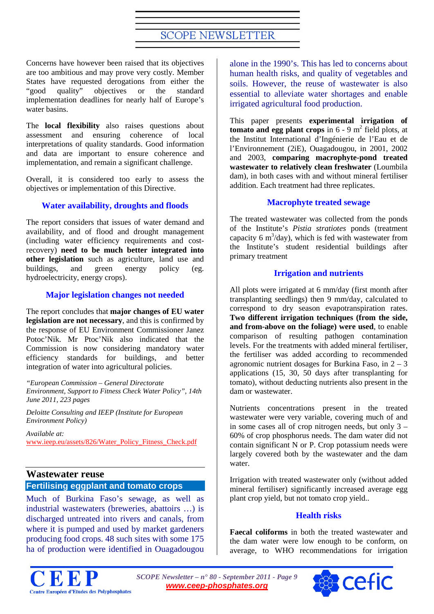Concerns have however been raised that its objectives are too ambitious and may prove very costly. Member States have requested derogations from either the "good quality" objectives or the standard "good quality" objectives or the standard implementation deadlines for nearly half of Europe's water basins.

The **local flexibility** also raises questions about assessment and ensuring coherence of local interpretations of quality standards. Good information and data are important to ensure coherence and implementation, and remain a significant challenge.

Overall, it is considered too early to assess the objectives or implementation of this Directive.

## **Water availability, droughts and floods**

The report considers that issues of water demand and availability, and of flood and drought management (including water efficiency requirements and costrecovery) **need to be much better integrated into other legislation** such as agriculture, land use and buildings, and green energy policy (eg. hydroelectricity, energy crops).

## **Major legislation changes not needed**

The report concludes that **major changes of EU water legislation are not necessary**, and this is confirmed by the response of EU Environment Commissioner Janez Potoc'Nik. Mr Ptoc'Nik also indicated that the Commission is now considering mandatory water efficiency standards for buildings, and better integration of water into agricultural policies.

*"European Commission – General Directorate Environment, Support to Fitness Check Water Policy", 14th June 2011, 223 pages*

*Deloitte Consulting and IEEP (Institute for European Environment Policy)*

*Available at:*  [www.ieep.eu/assets/826/Water\\_Policy\\_Fitness\\_Check.pdf](http://www.ieep.eu/assets/826/Water_Policy_Fitness_Check.pdf)

## <span id="page-8-0"></span>**Wastewater reuse Fertilising eggplant and tomato crops**

Much of Burkina Faso's sewage, as well as industrial wastewaters (breweries, abattoirs …) is discharged untreated into rivers and canals, from where it is pumped and used by market gardeners producing food crops. 48 such sites with some 175 ha of production were identified in Ouagadougou

alone in the 1990's. This has led to concerns about human health risks, and quality of vegetables and soils. However, the reuse of wastewater is also essential to alleviate water shortages and enable irrigated agricultural food production.

This paper presents **experimental irrigation of tomato and egg plant crops** in  $6 - 9$  m<sup>2</sup> field plots, at the Institut International d'Ingénierie de l'Eau et de l'Environnement (2iE), Ouagadougou, in 2001, 2002 and 2003, **comparing macrophyte-pond treated wastewater to relatively clean freshwater** (Loumbila dam), in both cases with and without mineral fertiliser addition. Each treatment had three replicates.

#### **Macrophyte treated sewage**

The treated wastewater was collected from the ponds of the Institute's *Pistia stratiotes* ponds (treatment capacity 6 m<sup>3</sup>/day), which is fed with wastewater from the Institute's student residential buildings after primary treatment

## **Irrigation and nutrients**

All plots were irrigated at 6 mm/day (first month after transplanting seedlings) then 9 mm/day, calculated to correspond to dry season evapotranspiration rates. **Two different irrigation techniques (from the side, and from-above on the foliage) were used**, to enable comparison of resulting pathogen contamination levels. For the treatments with added mineral fertiliser, the fertiliser was added according to recommended agronomic nutrient dosages for Burkina Faso, in  $2 - 3$ applications (15, 30, 50 days after transplanting for tomato), without deducting nutrients also present in the dam or wastewater.

Nutrients concentrations present in the treated wastewater were very variable, covering much of and in some cases all of crop nitrogen needs, but only 3 – 60% of crop phosphorus needs. The dam water did not contain significant N or P. Crop potassium needs were largely covered both by the wastewater and the dam water.

Irrigation with treated wastewater only (without added mineral fertiliser) significantly increased average egg plant crop yield, but not tomato crop yield..

## **Health risks**

**Faecal coliforms** in both the treated wastewater and the dam water were low enough to be conform, on average, to WHO recommendations for irrigation



*SCOPE Newsletter – n° 80 - September 2011 - Page 9 [www.ceep-phosphates.org](http://www.ceep-phosphates.org/)*

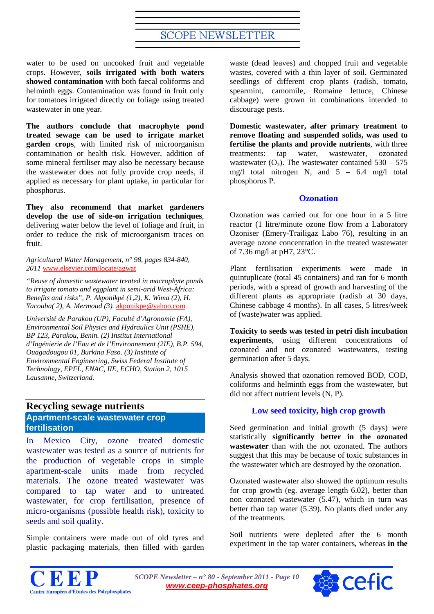water to be used on uncooked fruit and vegetable crops. However, **soils irrigated with both waters showed contamination** with both faecal coliforms and helminth eggs. Contamination was found in fruit only for tomatoes irrigated directly on foliage using treated wastewater in one year.

**The authors conclude that macrophyte pond treated sewage can be used to irrigate market garden crops**, with limited risk of microorganism contamination or health risk. However, addition of some mineral fertiliser may also be necessary because the wastewater does not fully provide crop needs, if applied as necessary for plant uptake, in particular for phosphorus.

**They also recommend that market gardeners develop the use of side-on irrigation techniques**, delivering water below the level of foliage and fruit, in order to reduce the risk of microorganism traces on fruit.

*Agricultural Water Management, n° 98, pages 834-840, 2011* [www.elsevier.com/locate/agwat](http://www.elsevier.com/locate/agwat)

*"Reuse of domestic wastewater treated in macrophyte ponds to irrigate tomato and eggplant in semi-arid West-Africa: Benefits and risks", P. Akponikpè (1,2), K. Wima (2), H. Yacouba( 2), A. Mermoud (3).* [akponikpe@yahoo.com](mailto:akponikpe@yahoo.com)

*Université de Parakou (UP), Faculté d'Agronomie (FA), Environmental Soil Physics and Hydraulics Unit (PSHE), BP 123, Parakou, Benin. (2) Institut International d'Ingénierie de l'Eau et de l'Environnement (2IE), B.P. 594, Ouagadougou 01, Burkina Faso. (3) Institute of Environmental Engineering, Swiss Federal Institute of Technology, EPFL, ENAC, IIE, ECHO, Station 2, 1015 Lausanne, Switzerland.*

## <span id="page-9-0"></span>**Recycling sewage nutrients Apartment-scale wastewater crop fertilisation**

In Mexico City, ozone treated domestic wastewater was tested as a source of nutrients for the production of vegetable crops in simple apartment-scale units made from recycled materials. The ozone treated wastewater was compared to tap water and to untreated wastewater, for crop fertilisation, presence of micro-organisms (possible health risk), toxicity to seeds and soil quality.

Simple containers were made out of old tyres and plastic packaging materials, then filled with garden

waste (dead leaves) and chopped fruit and vegetable wastes, covered with a thin layer of soil. Germinated seedlings of different crop plants (radish, tomato, spearmint, camomile, Romaine lettuce, Chinese cabbage) were grown in combinations intended to discourage pests.

**Domestic wastewater, after primary treatment to remove floating and suspended solids, was used to fertilise the plants and provide nutrients**, with three treatments: tap water, wastewater, ozonated wastewater ( $O_3$ ). The wastewater contained 530 – 575 mg/l total nitrogen N, and  $5 - 6.4$  mg/l total phosphorus P.

## **Ozonation**

Ozonation was carried out for one hour in a 5 litre reactor (1 litre/minute ozone flow from a Laboratory Ozoniser (Emery-Trailigaz Labo 76), resulting in an average ozone concentration in the treated wastewater of 7.36 mg/l at pH7, 23°C.

Plant fertilisation experiments were made in quintuplicate (total 45 containers) and ran for 6 month periods, with a spread of growth and harvesting of the different plants as appropriate (radish at 30 days, Chinese cabbage 4 months). In all cases, 5 litres/week of (waste)water was applied.

**Toxicity to seeds was tested in petri dish incubation experiments**, using different concentrations of ozonated and not ozonated wastewaters, testing germination after 5 days.

Analysis showed that ozonation removed BOD, COD, coliforms and helminth eggs from the wastewater, but did not affect nutrient levels (N, P).

## **Low seed toxicity, high crop growth**

Seed germination and initial growth  $(5 \text{ days})$  were statistically **significantly better in the ozonated wastewater** than with the not ozonated. The authors suggest that this may be because of toxic substances in the wastewater which are destroyed by the ozonation.

Ozonated wastewater also showed the optimum results for crop growth (eg. average length  $6.02$ ), better than non ozonated wastewater (5.47), which in turn was better than tap water (5.39). No plants died under any of the treatments.

Soil nutrients were depleted after the 6 month experiment in the tap water containers, whereas **in the** 



*SCOPE Newsletter – n° 80 - September 2011 - Page 10 [www.ceep-phosphates.org](http://www.ceep-phosphates.org/)*